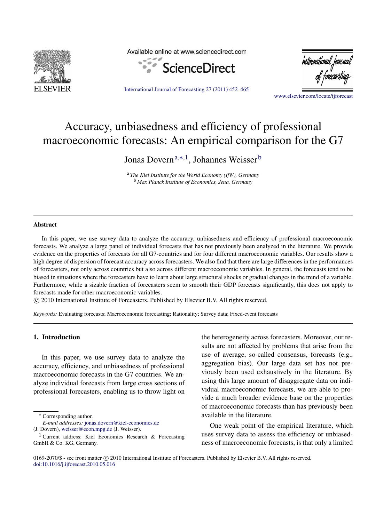

Available online at www.sciencedirect.com



'international journa

[www.elsevier.com/locate/ijforecast](http://www.elsevier.com/locate/ijforecast)

[International Journal of Forecasting 27 \(2011\) 452–465](http://dx.doi.org/10.1016/j.ijforecast.2010.05.016)

## Accuracy, unbiasedness and efficiency of professional macroeconomic forecasts: An empirical comparison for the G7

Jonas Dovern<sup>[a,](#page-0-0)[∗](#page-0-1)[,1](#page-0-2)</sup>, Johannes Weisser<sup>[b](#page-0-3)</sup>

<span id="page-0-3"></span><span id="page-0-0"></span><sup>a</sup> *The Kiel Institute for the World Economy (IfW), Germany* <sup>b</sup> *Max Planck Institute of Economics, Jena, Germany*

## Abstract

In this paper, we use survey data to analyze the accuracy, unbiasedness and efficiency of professional macroeconomic forecasts. We analyze a large panel of individual forecasts that has not previously been analyzed in the literature. We provide evidence on the properties of forecasts for all G7-countries and for four different macroeconomic variables. Our results show a high degree of dispersion of forecast accuracy across forecasters. We also find that there are large differences in the performances of forecasters, not only across countries but also across different macroeconomic variables. In general, the forecasts tend to be biased in situations where the forecasters have to learn about large structural shocks or gradual changes in the trend of a variable. Furthermore, while a sizable fraction of forecasters seem to smooth their GDP forecasts significantly, this does not apply to forecasts made for other macroeconomic variables.

⃝c 2010 International Institute of Forecasters. Published by Elsevier B.V. All rights reserved.

*Keywords:* Evaluating forecasts; Macroeconomic forecasting; Rationality; Survey data; Fixed-event forecasts

## 1. Introduction

In this paper, we use survey data to analyze the accuracy, efficiency, and unbiasedness of professional macroeconomic forecasts in the G7 countries. We analyze individual forecasts from large cross sections of professional forecasters, enabling us to throw light on

<span id="page-0-1"></span><sup>∗</sup> Corresponding author.

the heterogeneity across forecasters. Moreover, our results are not affected by problems that arise from the use of average, so-called consensus, forecasts (e.g., aggregation bias). Our large data set has not previously been used exhaustively in the literature. By using this large amount of disaggregate data on individual macroeconomic forecasts, we are able to provide a much broader evidence base on the properties of macroeconomic forecasts than has previously been available in the literature.

One weak point of the empirical literature, which uses survey data to assess the efficiency or unbiasedness of macroeconomic forecasts, is that only a limited

0169-2070/\$ - see front matter © 2010 International Institute of Forecasters. Published by Elsevier B.V. All rights reserved. [doi:10.1016/j.ijforecast.2010.05.016](http://dx.doi.org/10.1016/j.ijforecast.2010.05.016)

*E-mail addresses:* [jonas.dovern@kiel-economics.de](mailto:jonas.dovern@kiel-economics.de)

<sup>(</sup>J. Dovern), [weisser@econ.mpg.de](mailto:weisser@econ.mpg.de) (J. Weisser).

<span id="page-0-2"></span><sup>&</sup>lt;sup>1</sup> Current address: Kiel Economics Research & Forecasting GmbH & Co. KG, Germany.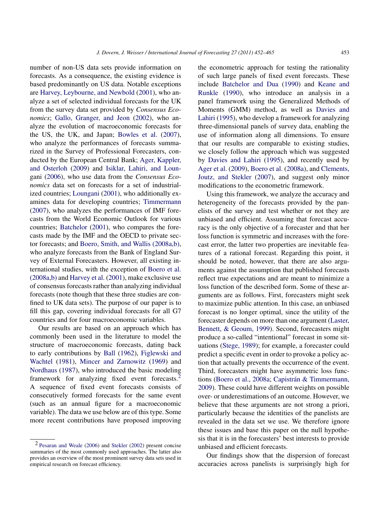number of non-US data sets provide information on forecasts. As a consequence, the existing evidence is based predominantly on US data. Notable exceptions are [Harvey,](#page--1-0) [Leybourne,](#page--1-0) [and](#page--1-0) [Newbold](#page--1-0) [\(2001\)](#page--1-0), who analyze a set of selected individual forecasts for the UK from the survey data set provided by *Consensus Economics*; [Gallo,](#page--1-1) [Granger,](#page--1-1) [and](#page--1-1) [Jeon](#page--1-1) [\(2002\)](#page--1-1), who analyze the evolution of macroeconomic forecasts for the US, the UK, and Japan; [Bowles](#page--1-2) [et al.](#page--1-2) [\(2007\)](#page--1-2), who analyze the performances of forecasts summarized in the Survey of Professional Forecasters, conducted by the European Central Bank; [Ager,](#page--1-3) [Kappler,](#page--1-3) [and](#page--1-3) [Osterloh](#page--1-3) [\(2009\)](#page--1-3) and [Isiklar,](#page--1-4) [Lahiri,](#page--1-4) [and](#page--1-4) [Loun](#page--1-4)[gani](#page--1-4) [\(2006\)](#page--1-4), who use data from the *Consensus Economics* data set on forecasts for a set of industrialized countries; [Loungani](#page--1-5) [\(2001\)](#page--1-5), who additionally examines data for developing countries; [Timmermann](#page--1-6) [\(2007\)](#page--1-6), who analyzes the performances of IMF forecasts from the World Economic Outlook for various countries; [Batchelor](#page--1-7) [\(2001\)](#page--1-7), who compares the forecasts made by the IMF and the OECD to private sector forecasts; and [Boero,](#page--1-8) [Smith,](#page--1-8) [and](#page--1-8) [Wallis](#page--1-8) [\(2008a,b\),](#page--1-8) who analyze forecasts from the Bank of England Survey of External Forecasters. However, all existing international studies, with the exception of [Boero](#page--1-8) [et al.](#page--1-8) [\(2008a,](#page--1-8)[b\)](#page--1-9) and [Harvey](#page--1-0) [et al.](#page--1-0) [\(2001\)](#page--1-0), make exclusive use of consensus forecasts rather than analyzing individual forecasts (note though that these three studies are confined to UK data sets). The purpose of our paper is to fill this gap, covering individual forecasts for all G7 countries and for four macroeconomic variables.

Our results are based on an approach which has commonly been used in the literature to model the structure of macroeconomic forecasts, dating back to early contributions by [Ball](#page--1-10) [\(1962\)](#page--1-10), [Figlewski](#page--1-11) [and](#page--1-11) [Wachtel](#page--1-11) [\(1981\)](#page--1-11), [Mincer](#page--1-12) [and](#page--1-12) [Zarnowitz](#page--1-12) [\(1969\)](#page--1-12) and [Nordhaus](#page--1-13) [\(1987\)](#page--1-13), who introduced the basic modeling framework for analyzing fixed event forecasts.<sup>[2](#page-1-0)</sup> A sequence of fixed event forecasts consists of consecutively formed forecasts for the same event (such as an annual figure for a macroeconomic variable). The data we use below are of this type. Some more recent contributions have proposed improving

the econometric approach for testing the rationality of such large panels of fixed event forecasts. These include [Batchelor](#page--1-16) [and](#page--1-16) [Dua](#page--1-16) [\(1990\)](#page--1-16) and [Keane](#page--1-17) [and](#page--1-17) [Runkle](#page--1-17) [\(1990\)](#page--1-17), who introduce an analysis in a panel framework using the Generalized Methods of Moments (GMM) method, as well as [Davies](#page--1-18) [and](#page--1-18) [Lahiri](#page--1-18) [\(1995\)](#page--1-18), who develop a framework for analyzing three-dimensional panels of survey data, enabling the use of information along all dimensions. To ensure that our results are comparable to existing studies, we closely follow the approach which was suggested by [Davies](#page--1-18) [and](#page--1-18) [Lahiri](#page--1-18) [\(1995\)](#page--1-18), and recently used by [Ager](#page--1-3) [et al.](#page--1-3) [\(2009\)](#page--1-3), [Boero](#page--1-8) [et al.](#page--1-8) [\(2008a\)](#page--1-8), and [Clements,](#page--1-19) [Joutz,](#page--1-19) [and](#page--1-19) [Stekler](#page--1-19) [\(2007\)](#page--1-19), and suggest only minor modifications to the econometric framework.

Using this framework, we analyze the accuracy and heterogeneity of the forecasts provided by the panelists of the survey and test whether or not they are unbiased and efficient. Assuming that forecast accuracy is the only objective of a forecaster and that her loss function is symmetric and increases with the forecast error, the latter two properties are inevitable features of a rational forecast. Regarding this point, it should be noted, however, that there are also arguments against the assumption that published forecasts reflect true expectations and are meant to minimize a loss function of the described form. Some of these arguments are as follows. First, forecasters might seek to maximize public attention. In this case, an unbiased forecast is no longer optimal, since the utility of the forecaster depends on more than one argument [\(Laster,](#page--1-20) [Bennett,](#page--1-20) [&](#page--1-20) [Geoum,](#page--1-20) [1999\)](#page--1-20). Second, forecasters might produce a so-called "intentional" forecast in some situations [\(Stege,](#page--1-21) [1989\)](#page--1-21); for example, a forecaster could predict a specific event in order to provoke a policy action that actually prevents the occurrence of the event. Third, forecasters might have asymmetric loss func-tions [\(Boero](#page--1-8) [et al.,](#page--1-8) [2008a;](#page--1-8) Capistrán [&](#page--1-22) [Timmermann,](#page--1-22) [2009\)](#page--1-22). These could have different weights on possible over- or underestimations of an outcome. However, we believe that these arguments are not strong a priori, particularly because the identities of the panelists are revealed in the data set we use. We therefore ignore these issues and base this paper on the null hypothesis that it is in the forecasters' best interests to provide unbiased and efficient forecasts.

Our findings show that the dispersion of forecast accuracies across panelists is surprisingly high for

<span id="page-1-0"></span><sup>2</sup> [Pesaran](#page--1-14) [and](#page--1-14) [Weale](#page--1-14) [\(2006\)](#page--1-14) and [Stekler](#page--1-15) [\(2002\)](#page--1-15) present concise summaries of the most commonly used approaches. The latter also provides an overview of the most prominent survey data sets used in empirical research on forecast efficiency.